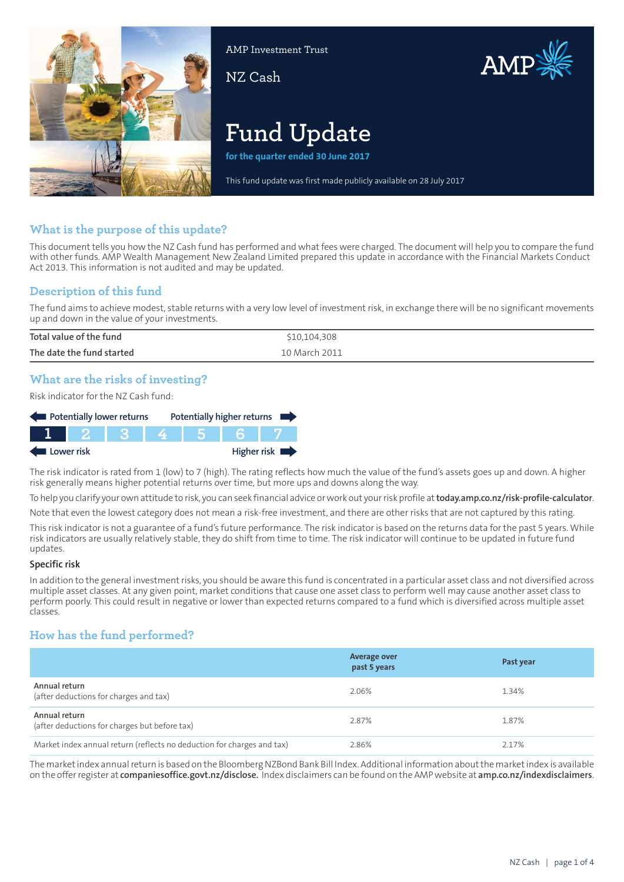

AMP Investment Trust

NZ Cash



# **Fund Update**

**for the quarter ended 30 June 2017**

This fund update was first made publicly available on 28 July 2017

# **What is the purpose of this update?**

This document tells you how the NZ Cash fund has performed and what fees were charged. The document will help you to compare the fund with other funds. AMP Wealth Management New Zealand Limited prepared this update in accordance with the Financial Markets Conduct Act 2013. This information is not audited and may be updated.

# **Description of this fund**

The fund aims to achieve modest, stable returns with a very low level of investment risk, in exchange there will be no significant movements up and down in the value of your investments.

| Total value of the fund   | \$10,104,308  |
|---------------------------|---------------|
| The date the fund started | 10 March 2011 |

# **What are the risks of investing?**

Risk indicator for the NZ Cash fund:

| Potentially lower returns |  |  |  |  | Potentially higher returns |
|---------------------------|--|--|--|--|----------------------------|
|                           |  |  |  |  |                            |
| Lower risk                |  |  |  |  | Higher risk $\blacksquare$ |

The risk indicator is rated from 1 (low) to 7 (high). The rating reflects how much the value of the fund's assets goes up and down. A higher risk generally means higher potential returns over time, but more ups and downs along the way.

To help you clarify your own attitude to risk, you can seek financial advice orwork out yourrisk profile at**[today.amp.co.nz/risk-profile-calculator](http://today.amp.co.nz/risk-profile-calculator)**.

Note that even the lowest category does not mean a risk-free investment, and there are other risks that are not captured by this rating.

This risk indicator is not a guarantee of a fund's future performance. The risk indicator is based on the returns data for the past 5 years. While risk indicators are usually relatively stable, they do shift from time to time. The risk indicator will continue to be updated in future fund updates.

#### **Specific risk**

In addition to the general investmentrisks, you should be aware this fund is concentrated in a particular asset class and not diversified across multiple asset classes. At any given point, market conditions that cause one asset class to perform well may cause another asset class to perform poorly. This could result in negative or lower than expected returns compared to a fund which is diversified across multiple asset classes.

# **How has the fund performed?**

|                                                                        | <b>Average over</b><br>past 5 years | Past year |
|------------------------------------------------------------------------|-------------------------------------|-----------|
| Annual return<br>(after deductions for charges and tax)                | 2.06%                               | 1.34%     |
| Annual return<br>(after deductions for charges but before tax)         | 2.87%                               | 1.87%     |
| Market index annual return (reflects no deduction for charges and tax) | 2.86%                               | 2.17%     |

The marketindex annualreturn is based on the Bloomberg NZBond Bank Bill Index. Additional information aboutthe marketindex is available on the offerregister at **[companiesoffice.govt.nz/disclose.](http://companiesoffice.govt.nz/disclose)** Index disclaimers can be found on the AMP website at **[amp.co.nz/indexdisclaimers](http://amp.co.nz/indexdisclaimers)**.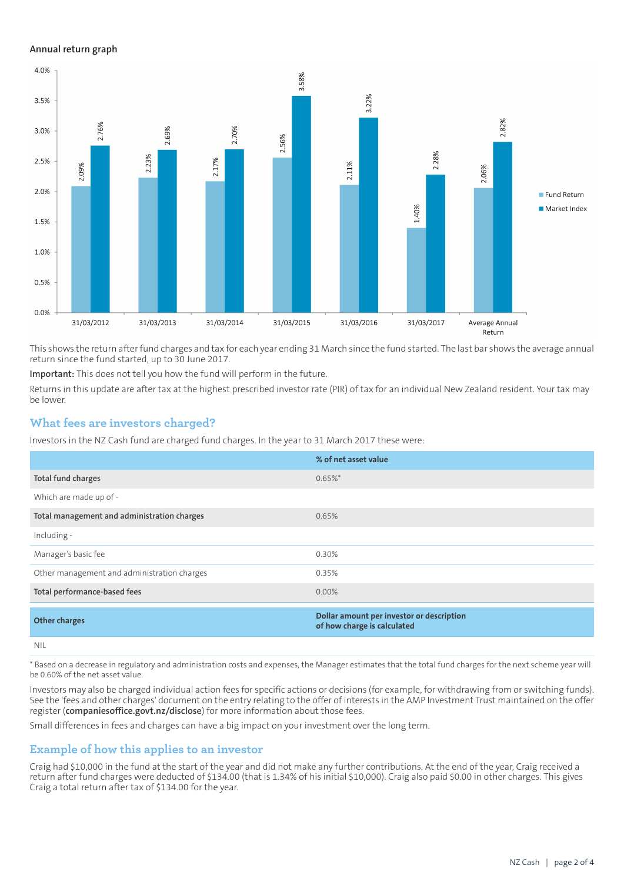#### **Annual return graph**



This shows the return afterfund charges and tax for each year ending 31 March since the fund started. The last bar shows the average annual return since the fund started, up to 30 June 2017.

**Important:** This does not tell you how the fund will perform in the future.

Returns in this update are after tax at the highest prescribed investor rate (PIR) of tax for an individual New Zealand resident. Your tax may be lower.

# **What fees are investors charged?**

Investors in the NZ Cash fund are charged fund charges. In the year to 31 March 2017 these were:

|                                             | % of net asset value                                                     |
|---------------------------------------------|--------------------------------------------------------------------------|
| Total fund charges                          | $0.65\%$ *                                                               |
| Which are made up of -                      |                                                                          |
| Total management and administration charges | 0.65%                                                                    |
| Including -                                 |                                                                          |
| Manager's basic fee                         | 0.30%                                                                    |
| Other management and administration charges | 0.35%                                                                    |
| Total performance-based fees                | $0.00\%$                                                                 |
| <b>Other charges</b>                        | Dollar amount per investor or description<br>of how charge is calculated |
| <b>NIL</b>                                  |                                                                          |

\* Based on a decrease in regulatory and administration costs and expenses, the Manager estimates that the total fund charges for the next scheme year will be 0.60% of the net asset value.

Investors may also be charged individual action fees for specific actions or decisions (for example, for withdrawing from or switching funds). See the 'fees and other charges' document on the entry relating to the offer of interests in the AMP Investment Trust maintained on the offer register (**[companiesoffice.govt.nz/disclose](http://companiesoffice.govt.nz/disclose)**) for more information about those fees.

Small differences in fees and charges can have a big impact on your investment over the long term.

# **Example of how this applies to an investor**

Craig had \$10,000 in the fund at the start of the year and did not make any further contributions. At the end of the year, Craig received a return after fund charges were deducted of \$134.00 (that is 1.34% of his initial \$10,000). Craig also paid \$0.00 in other charges. This gives Craig a total return after tax of \$134.00 for the year.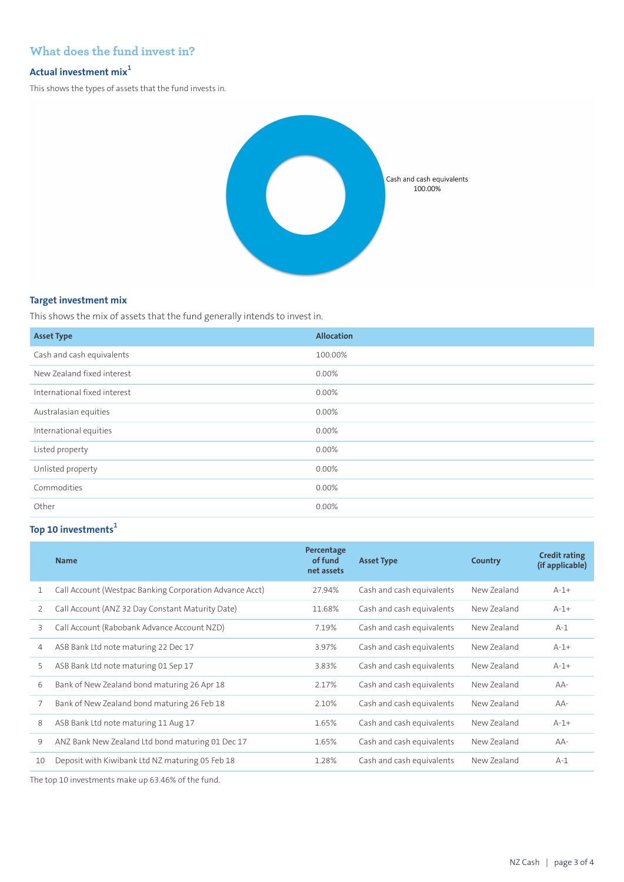# **What does the fund invest in?**

# **Actual investment mix<sup>1</sup>**

This shows the types of assets that the fund invests in.



### **Target investment mix**

This shows the mix of assets that the fund generally intends to invest in.

| <b>Asset Type</b>            | <b>Allocation</b> |
|------------------------------|-------------------|
| Cash and cash equivalents    | 100.00%           |
| New Zealand fixed interest   | $0.00\%$          |
| International fixed interest | 0.00%             |
| Australasian equities        | 0.00%             |
| International equities       | 0.00%             |
| Listed property              | 0.00%             |
| Unlisted property            | 0.00%             |
| Commodities                  | 0.00%             |
| Other                        | 0.00%             |

# **Top 10 investments<sup>1</sup>**

|    | <b>Name</b>                                             | Percentage<br>of fund<br>net assets | <b>Asset Type</b>         | Country     | <b>Credit rating</b><br>(if applicable) |
|----|---------------------------------------------------------|-------------------------------------|---------------------------|-------------|-----------------------------------------|
| 1  | Call Account (Westpac Banking Corporation Advance Acct) | 27.94%                              | Cash and cash equivalents | New Zealand | $A-1+$                                  |
| 2  | Call Account (ANZ 32 Day Constant Maturity Date)        | 11.68%                              | Cash and cash equivalents | New Zealand | $A-1+$                                  |
| 3  | Call Account (Rabobank Advance Account NZD)             | 7.19%                               | Cash and cash equivalents | New Zealand | $A-1$                                   |
| 4  | ASB Bank Ltd note maturing 22 Dec 17                    | 3.97%                               | Cash and cash equivalents | New Zealand | $A-1+$                                  |
| 5  | ASB Bank Ltd note maturing 01 Sep 17                    | 3.83%                               | Cash and cash equivalents | New Zealand | $A-1+$                                  |
| 6  | Bank of New Zealand bond maturing 26 Apr 18             | 2.17%                               | Cash and cash equivalents | New Zealand | $AA-$                                   |
| 7  | Bank of New Zealand bond maturing 26 Feb 18             | 2.10%                               | Cash and cash equivalents | New Zealand | $AA-$                                   |
| 8  | ASB Bank Ltd note maturing 11 Aug 17                    | 1.65%                               | Cash and cash equivalents | New Zealand | $A-1+$                                  |
| 9  | ANZ Bank New Zealand Ltd bond maturing 01 Dec 17        | 1.65%                               | Cash and cash equivalents | New Zealand | $AA-$                                   |
| 10 | Deposit with Kiwibank Ltd NZ maturing 05 Feb 18         | 1.28%                               | Cash and cash equivalents | New Zealand | $A-1$                                   |

The top 10 investments make up 63.46% of the fund.